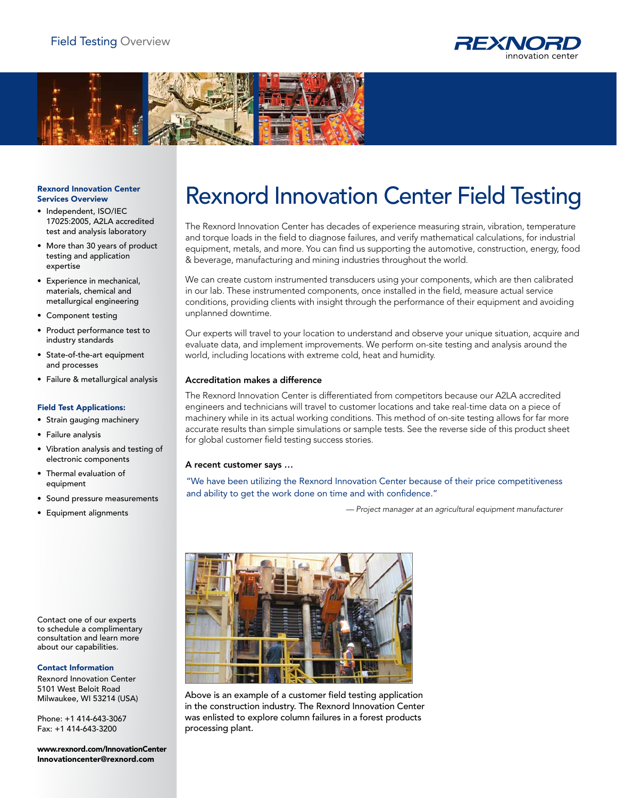



## Rexnord Innovation Center Services Overview

- Independent, ISO/IEC 17025:2005, A2LA accredited test and analysis laboratory
- More than 30 years of product testing and application expertise
- • Experience in mechanical, materials, chemical and metallurgical engineering
- • Component testing
- • Product performance test to industry standards
- • State-of-the-art equipment and processes
- • Failure & metallurgical analysis

# Field Test Applications:

- • Strain gauging machinery
- • Failure analysis
- • Vibration analysis and testing of electronic components
- • Thermal evaluation of equipment
- • Sound pressure measurements
- • Equipment alignments

Contact one of our experts to schedule a complimentary consultation and learn more about our capabilities.

# Contact Information

Rexnord Innovation Center 5101 West Beloit Road Milwaukee, WI 53214 (USA)

Phone: +1 414-643-3067 Fax: +1 414-643-3200

www.rexnord.com/InnovationCenter Innovationcenter@rexnord.com

# Rexnord Innovation Center Field Testing

The Rexnord Innovation Center has decades of experience measuring strain, vibration, temperature and torque loads in the field to diagnose failures, and verify mathematical calculations, for industrial equipment, metals, and more. You can find us supporting the automotive, construction, energy, food & beverage, manufacturing and mining industries throughout the world.

We can create custom instrumented transducers using your components, which are then calibrated in our lab. These instrumented components, once installed in the field, measure actual service conditions, providing clients with insight through the performance of their equipment and avoiding unplanned downtime.

Our experts will travel to your location to understand and observe your unique situation, acquire and evaluate data, and implement improvements. We perform on-site testing and analysis around the world, including locations with extreme cold, heat and humidity.

# Accreditation makes a difference

The Rexnord Innovation Center is differentiated from competitors because our A2LA accredited engineers and technicians will travel to customer locations and take real-time data on a piece of machinery while in its actual working conditions. This method of on-site testing allows for far more accurate results than simple simulations or sample tests. See the reverse side of this product sheet for global customer field testing success stories.

# A recent customer says …

"We have been utilizing the Rexnord Innovation Center because of their price competitiveness and ability to get the work done on time and with confidence."

*— Project manager at an agricultural equipment manufacturer*



Above is an example of a customer field testing application in the construction industry. The Rexnord Innovation Center was enlisted to explore column failures in a forest products processing plant.